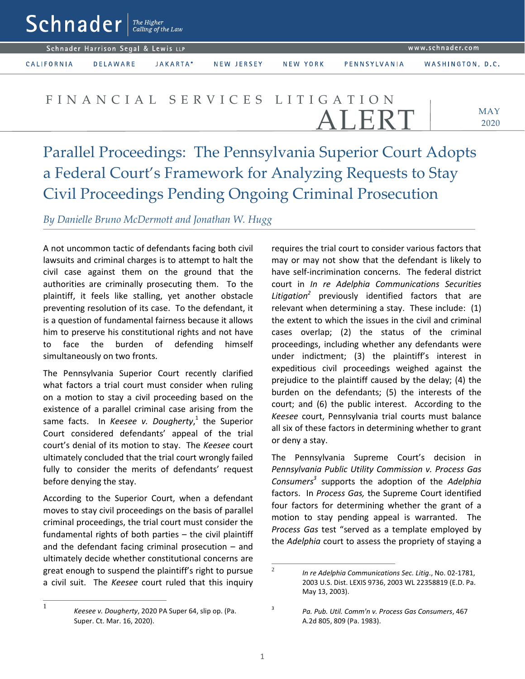$\mathsf{Sch}$ nader  $\vert$ <sup>The Higher</sup>

Schnader Harrison Segal & Lewis LLP

CALIFORNIA

**DELAWARE** JAKARTA\* NEW JERSEY

NEW YORK

PENNSYLVANIA

FIN A N C I A L S E R V I C E S L I T I G A T I O N LERT

MAY 2020

Parallel Proceedings: The Pennsylvania Superior Court Adopts a Federal Court's Framework for Analyzing Requests to Stay Civil Proceedings Pending Ongoing Criminal Prosecution

*By Danielle Bruno McDermott and Jonathan W. Hugg* 

A not uncommon tactic of defendants facing both civil lawsuits and criminal charges is to attempt to halt the civil case against them on the ground that the authorities are criminally prosecuting them. To the plaintiff, it feels like stalling, yet another obstacle preventing resolution of its case. To the defendant, it is a question of fundamental fairness because it allows him to preserve his constitutional rights and not have to face the burden of defending himself simultaneously on two fronts.

The Pennsylvania Superior Court recently clarified what factors a trial court must consider when ruling on a motion to stay a civil proceeding based on the existence of a parallel criminal case arising from the same facts. In *Keesee v. Dougherty*, 1 the Superior Court considered defendants' appeal of the trial court's denial of its motion to stay. The *Keesee* court ultimately concluded that the trial court wrongly failed fully to consider the merits of defendants' request before denying the stay.

According to the Superior Court, when a defendant moves to stay civil proceedings on the basis of parallel criminal proceedings, the trial court must consider the fundamental rights of both parties – the civil plaintiff and the defendant facing criminal prosecution – and ultimately decide whether constitutional concerns are great enough to suspend the plaintiff's right to pursue a civil suit. The *Keesee* court ruled that this inquiry requires the trial court to consider various factors that may or may not show that the defendant is likely to have self-incrimination concerns. The federal district court in *In re Adelphia Communications Securities Litigation[2](#page-0-1)* previously identified factors that are relevant when determining a stay. These include: (1) the extent to which the issues in the civil and criminal cases overlap; (2) the status of the criminal proceedings, including whether any defendants were under indictment; (3) the plaintiff's interest in expeditious civil proceedings weighed against the prejudice to the plaintiff caused by the delay; (4) the burden on the defendants; (5) the interests of the court; and (6) the public interest. According to the *Keesee* court, Pennsylvania trial courts must balance all six of these factors in determining whether to grant or deny a stay.

The Pennsylvania Supreme Court's decision in *Pennsylvania Public Utility Commission v. Process Gas Consumers[3](#page-0-2)* supports the adoption of the *Adelphia* factors. In *Process Gas,* the Supreme Court identified four factors for determining whether the grant of a motion to stay pending appeal is warranted. The *Process Gas* test "served as a template employed by the *Adelphia* court to assess the propriety of staying a

<span id="page-0-1"></span><sup>2</sup>*In re Adelphia Communications Sec. Litig*., No. 02-1781, 2003 U.S. Dist. LEXIS 9736, 2003 WL 22358819 (E.D. Pa. May 13, 2003).

<span id="page-0-0"></span><sup>1</sup>

*Keesee v. Dougherty*, 2020 PA Super 64, slip op. (Pa. Super. Ct. Mar. 16, 2020).

<span id="page-0-2"></span><sup>3</sup>*Pa. Pub. Util. Comm'n v. Process Gas Consumers*, 467 A.2d 805, 809 (Pa. 1983).